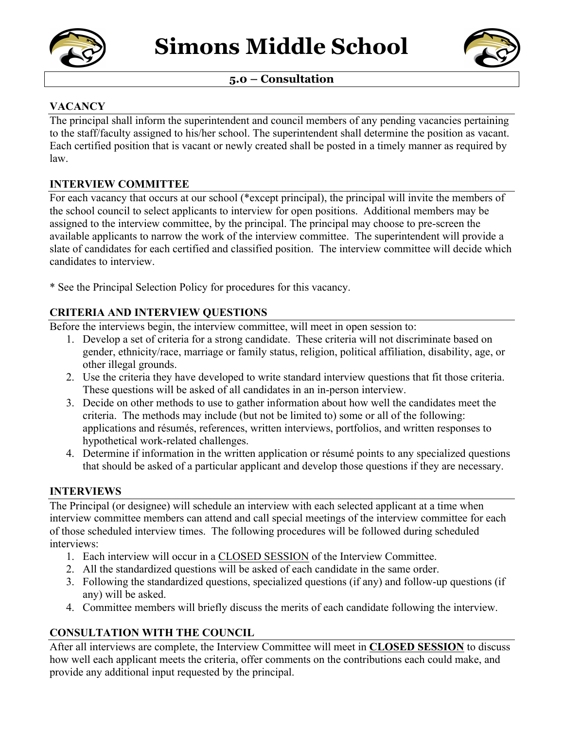

## **5.0 – Consultation**

## **VACANCY**

The principal shall inform the superintendent and council members of any pending vacancies pertaining to the staff/faculty assigned to his/her school. The superintendent shall determine the position as vacant. Each certified position that is vacant or newly created shall be posted in a timely manner as required by law.

### **INTERVIEW COMMITTEE**

For each vacancy that occurs at our school (\*except principal), the principal will invite the members of the school council to select applicants to interview for open positions. Additional members may be assigned to the interview committee, by the principal. The principal may choose to pre-screen the available applicants to narrow the work of the interview committee. The superintendent will provide a slate of candidates for each certified and classified position. The interview committee will decide which candidates to interview.

\* See the Principal Selection Policy for procedures for this vacancy.

# **CRITERIA AND INTERVIEW QUESTIONS**

Before the interviews begin, the interview committee, will meet in open session to:

- 1. Develop a set of criteria for a strong candidate. These criteria will not discriminate based on gender, ethnicity/race, marriage or family status, religion, political affiliation, disability, age, or other illegal grounds.
- 2. Use the criteria they have developed to write standard interview questions that fit those criteria. These questions will be asked of all candidates in an in-person interview.
- 3. Decide on other methods to use to gather information about how well the candidates meet the criteria. The methods may include (but not be limited to) some or all of the following: applications and résumés, references, written interviews, portfolios, and written responses to hypothetical work-related challenges.
- 4. Determine if information in the written application or résumé points to any specialized questions that should be asked of a particular applicant and develop those questions if they are necessary.

### **INTERVIEWS**

The Principal (or designee) will schedule an interview with each selected applicant at a time when interview committee members can attend and call special meetings of the interview committee for each of those scheduled interview times. The following procedures will be followed during scheduled interviews:

- 1. Each interview will occur in a CLOSED SESSION of the Interview Committee.
- 2. All the standardized questions will be asked of each candidate in the same order.
- 3. Following the standardized questions, specialized questions (if any) and follow-up questions (if any) will be asked.
- 4. Committee members will briefly discuss the merits of each candidate following the interview.

# **CONSULTATION WITH THE COUNCIL**

After all interviews are complete, the Interview Committee will meet in **CLOSED SESSION** to discuss how well each applicant meets the criteria, offer comments on the contributions each could make, and provide any additional input requested by the principal.